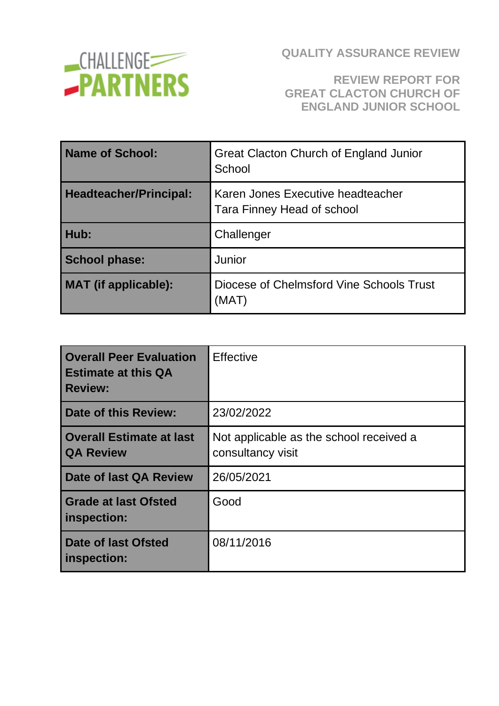

### **REVIEW REPORT FOR GREAT CLACTON CHURCH OF ENGLAND JUNIOR SCHOOL**

| Name of School:               | <b>Great Clacton Church of England Junior</b><br>School                |  |
|-------------------------------|------------------------------------------------------------------------|--|
| <b>Headteacher/Principal:</b> | Karen Jones Executive headteacher<br><b>Tara Finney Head of school</b> |  |
| Hub:                          | Challenger                                                             |  |
| <b>School phase:</b>          | Junior                                                                 |  |
| MAT (if applicable):          | Diocese of Chelmsford Vine Schools Trust<br>(MAT)                      |  |

| <b>Overall Peer Evaluation</b><br><b>Estimate at this QA</b><br><b>Review:</b> | <b>Effective</b>                                             |
|--------------------------------------------------------------------------------|--------------------------------------------------------------|
| <b>Date of this Review:</b>                                                    | 23/02/2022                                                   |
| <b>Overall Estimate at last</b><br><b>QA Review</b>                            | Not applicable as the school received a<br>consultancy visit |
| Date of last QA Review                                                         | 26/05/2021                                                   |
| <b>Grade at last Ofsted</b><br>inspection:                                     | Good                                                         |
| Date of last Ofsted<br>inspection:                                             | 08/11/2016                                                   |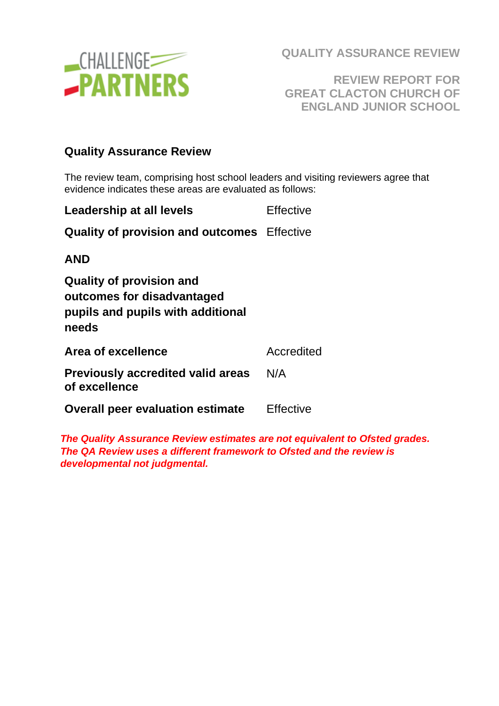

**REVIEW REPORT FOR GREAT CLACTON CHURCH OF ENGLAND JUNIOR SCHOOL**

#### **Quality Assurance Review**

The review team, comprising host school leaders and visiting reviewers agree that evidence indicates these areas are evaluated as follows:

| Leadership at all levels                                                                                    | <b>Effective</b> |
|-------------------------------------------------------------------------------------------------------------|------------------|
| <b>Quality of provision and outcomes</b> Effective                                                          |                  |
| <b>AND</b>                                                                                                  |                  |
| <b>Quality of provision and</b><br>outcomes for disadvantaged<br>pupils and pupils with additional<br>needs |                  |
| Area of excellence                                                                                          | Accredited       |
| <b>Previously accredited valid areas</b><br>of excellence                                                   | N/A              |
| <b>Overall peer evaluation estimate</b>                                                                     | Effective        |

*The Quality Assurance Review estimates are not equivalent to Ofsted grades. The QA Review uses a different framework to Ofsted and the review is developmental not judgmental.*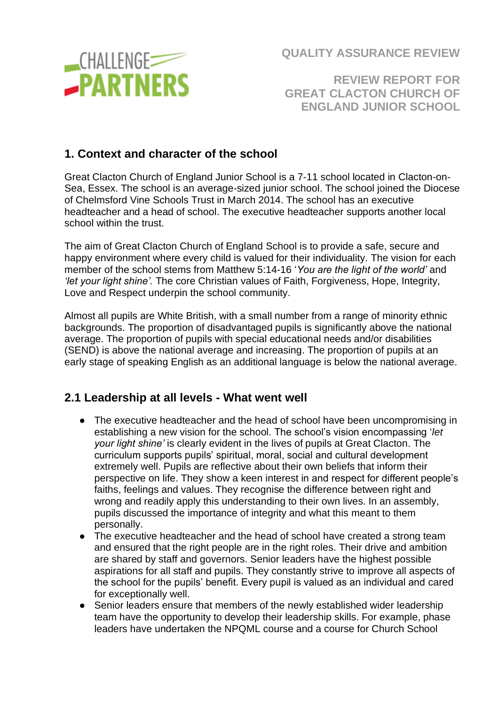

**REVIEW REPORT FOR GREAT CLACTON CHURCH OF ENGLAND JUNIOR SCHOOL**

### **1. Context and character of the school**

Great Clacton Church of England Junior School is a 7-11 school located in Clacton-on-Sea, Essex. The school is an average-sized junior school. The school joined the Diocese of Chelmsford Vine Schools Trust in March 2014. The school has an executive headteacher and a head of school. The executive headteacher supports another local school within the trust.

The aim of Great Clacton Church of England School is to provide a safe, secure and happy environment where every child is valued for their individuality. The vision for each member of the school stems from Matthew 5:14-16 '*You are the light of the world'* and *'let your light shine'.* The core Christian values of Faith, Forgiveness, Hope, Integrity, Love and Respect underpin the school community.

Almost all pupils are White British, with a small number from a range of minority ethnic backgrounds. The proportion of disadvantaged pupils is significantly above the national average. The proportion of pupils with special educational needs and/or disabilities (SEND) is above the national average and increasing. The proportion of pupils at an early stage of speaking English as an additional language is below the national average.

### **2.1 Leadership at all levels - What went well**

- The executive headteacher and the head of school have been uncompromising in establishing a new vision for the school. The school's vision encompassing '*let your light shine'* is clearly evident in the lives of pupils at Great Clacton. The curriculum supports pupils' spiritual, moral, social and cultural development extremely well. Pupils are reflective about their own beliefs that inform their perspective on life. They show a keen interest in and respect for different people's faiths, feelings and values. They recognise the difference between right and wrong and readily apply this understanding to their own lives. In an assembly, pupils discussed the importance of integrity and what this meant to them personally.
- The executive headteacher and the head of school have created a strong team and ensured that the right people are in the right roles. Their drive and ambition are shared by staff and governors. Senior leaders have the highest possible aspirations for all staff and pupils. They constantly strive to improve all aspects of the school for the pupils' benefit. Every pupil is valued as an individual and cared for exceptionally well.
- Senior leaders ensure that members of the newly established wider leadership team have the opportunity to develop their leadership skills. For example, phase leaders have undertaken the NPQML course and a course for Church School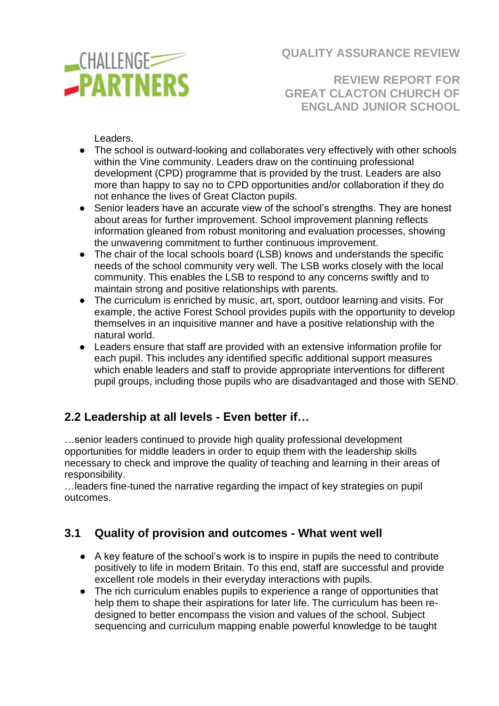

**REVIEW REPORT FOR GREAT CLACTON CHURCH OF ENGLAND JUNIOR SCHOOL**

Leaders.

- The school is outward-looking and collaborates very effectively with other schools within the Vine community. Leaders draw on the continuing professional development (CPD) programme that is provided by the trust. Leaders are also more than happy to say no to CPD opportunities and/or collaboration if they do not enhance the lives of Great Clacton pupils.
- Senior leaders have an accurate view of the school's strengths. They are honest about areas for further improvement. School improvement planning reflects information gleaned from robust monitoring and evaluation processes, showing the unwavering commitment to further continuous improvement.
- The chair of the local schools board (LSB) knows and understands the specific needs of the school community very well. The LSB works closely with the local community. This enables the LSB to respond to any concerns swiftly and to maintain strong and positive relationships with parents.
- The curriculum is enriched by music, art, sport, outdoor learning and visits. For example, the active Forest School provides pupils with the opportunity to develop themselves in an inquisitive manner and have a positive relationship with the natural world.
- Leaders ensure that staff are provided with an extensive information profile for each pupil. This includes any identified specific additional support measures which enable leaders and staff to provide appropriate interventions for different pupil groups, including those pupils who are disadvantaged and those with SEND.

### **2.2 Leadership at all levels - Even better if…**

…senior leaders continued to provide high quality professional development opportunities for middle leaders in order to equip them with the leadership skills necessary to check and improve the quality of teaching and learning in their areas of responsibility.

…leaders fine-tuned the narrative regarding the impact of key strategies on pupil outcomes.

### **3.1 Quality of provision and outcomes - What went well**

- A key feature of the school's work is to inspire in pupils the need to contribute positively to life in modern Britain. To this end, staff are successful and provide excellent role models in their everyday interactions with pupils.
- The rich curriculum enables pupils to experience a range of opportunities that help them to shape their aspirations for later life. The curriculum has been redesigned to better encompass the vision and values of the school. Subject sequencing and curriculum mapping enable powerful knowledge to be taught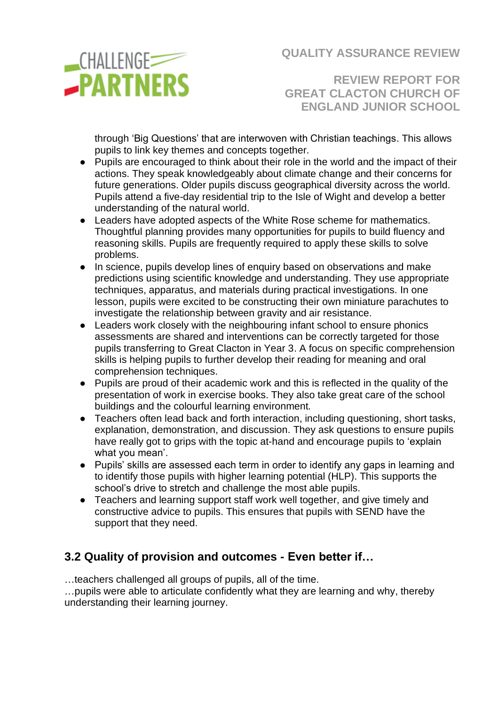

**REVIEW REPORT FOR GREAT CLACTON CHURCH OF ENGLAND JUNIOR SCHOOL**

through 'Big Questions' that are interwoven with Christian teachings. This allows pupils to link key themes and concepts together.

- Pupils are encouraged to think about their role in the world and the impact of their actions. They speak knowledgeably about climate change and their concerns for future generations. Older pupils discuss geographical diversity across the world. Pupils attend a five-day residential trip to the Isle of Wight and develop a better understanding of the natural world.
- Leaders have adopted aspects of the White Rose scheme for mathematics. Thoughtful planning provides many opportunities for pupils to build fluency and reasoning skills. Pupils are frequently required to apply these skills to solve problems.
- In science, pupils develop lines of enquiry based on observations and make predictions using scientific knowledge and understanding. They use appropriate techniques, apparatus, and materials during practical investigations. In one lesson, pupils were excited to be constructing their own miniature parachutes to investigate the relationship between gravity and air resistance.
- Leaders work closely with the neighbouring infant school to ensure phonics assessments are shared and interventions can be correctly targeted for those pupils transferring to Great Clacton in Year 3. A focus on specific comprehension skills is helping pupils to further develop their reading for meaning and oral comprehension techniques.
- Pupils are proud of their academic work and this is reflected in the quality of the presentation of work in exercise books. They also take great care of the school buildings and the colourful learning environment.
- Teachers often lead back and forth interaction, including questioning, short tasks, explanation, demonstration, and discussion. They ask questions to ensure pupils have really got to grips with the topic at-hand and encourage pupils to 'explain what you mean'.
- Pupils' skills are assessed each term in order to identify any gaps in learning and to identify those pupils with higher learning potential (HLP). This supports the school's drive to stretch and challenge the most able pupils.
- Teachers and learning support staff work well together, and give timely and constructive advice to pupils. This ensures that pupils with SEND have the support that they need.

## **3.2 Quality of provision and outcomes - Even better if…**

…teachers challenged all groups of pupils, all of the time.

…pupils were able to articulate confidently what they are learning and why, thereby understanding their learning journey.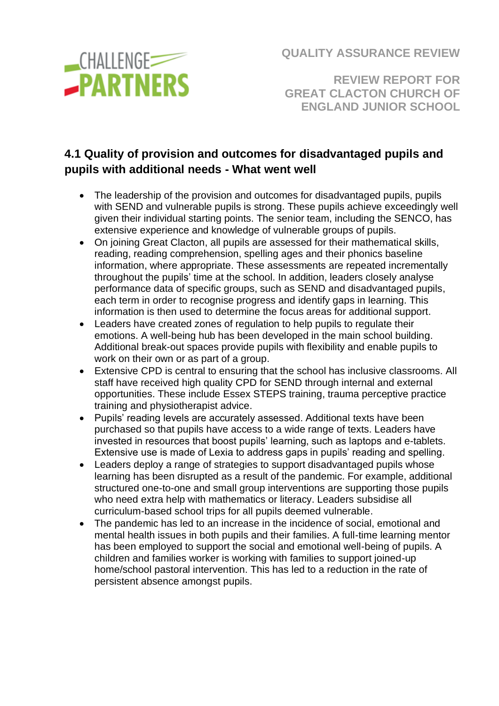

**REVIEW REPORT FOR GREAT CLACTON CHURCH OF ENGLAND JUNIOR SCHOOL**

# **4.1 Quality of provision and outcomes for disadvantaged pupils and pupils with additional needs - What went well**

- The leadership of the provision and outcomes for disadvantaged pupils, pupils with SEND and vulnerable pupils is strong. These pupils achieve exceedingly well given their individual starting points. The senior team, including the SENCO, has extensive experience and knowledge of vulnerable groups of pupils.
- On joining Great Clacton, all pupils are assessed for their mathematical skills, reading, reading comprehension, spelling ages and their phonics baseline information, where appropriate. These assessments are repeated incrementally throughout the pupils' time at the school. In addition, leaders closely analyse performance data of specific groups, such as SEND and disadvantaged pupils, each term in order to recognise progress and identify gaps in learning. This information is then used to determine the focus areas for additional support.
- Leaders have created zones of regulation to help pupils to regulate their emotions. A well-being hub has been developed in the main school building. Additional break-out spaces provide pupils with flexibility and enable pupils to work on their own or as part of a group.
- Extensive CPD is central to ensuring that the school has inclusive classrooms. All staff have received high quality CPD for SEND through internal and external opportunities. These include Essex STEPS training, trauma perceptive practice training and physiotherapist advice.
- Pupils' reading levels are accurately assessed. Additional texts have been purchased so that pupils have access to a wide range of texts. Leaders have invested in resources that boost pupils' learning, such as laptops and e-tablets. Extensive use is made of Lexia to address gaps in pupils' reading and spelling.
- Leaders deploy a range of strategies to support disadvantaged pupils whose learning has been disrupted as a result of the pandemic. For example, additional structured one-to-one and small group interventions are supporting those pupils who need extra help with mathematics or literacy. Leaders subsidise all curriculum-based school trips for all pupils deemed vulnerable.
- The pandemic has led to an increase in the incidence of social, emotional and mental health issues in both pupils and their families. A full-time learning mentor has been employed to support the social and emotional well-being of pupils. A children and families worker is working with families to support joined-up home/school pastoral intervention. This has led to a reduction in the rate of persistent absence amongst pupils.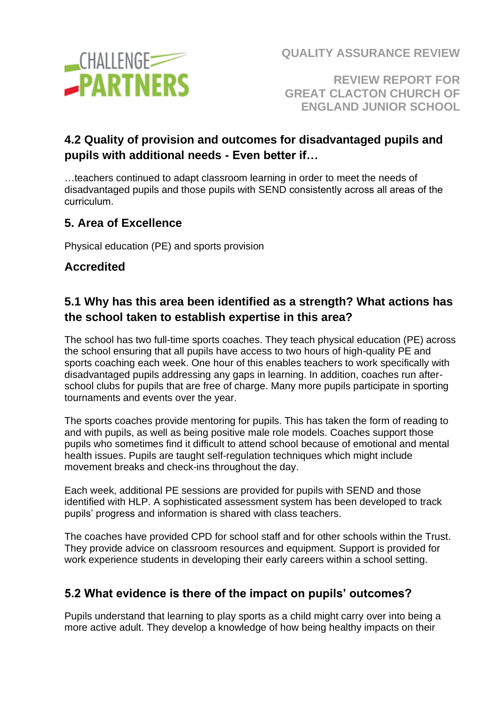

**REVIEW REPORT FOR GREAT CLACTON CHURCH OF ENGLAND JUNIOR SCHOOL**

## **4.2 Quality of provision and outcomes for disadvantaged pupils and pupils with additional needs - Even better if…**

…teachers continued to adapt classroom learning in order to meet the needs of disadvantaged pupils and those pupils with SEND consistently across all areas of the curriculum.

### **5. Area of Excellence**

Physical education (PE) and sports provision

### **Accredited**

## **5.1 Why has this area been identified as a strength? What actions has the school taken to establish expertise in this area?**

The school has two full-time sports coaches. They teach physical education (PE) across the school ensuring that all pupils have access to two hours of high-quality PE and sports coaching each week. One hour of this enables teachers to work specifically with disadvantaged pupils addressing any gaps in learning. In addition, coaches run afterschool clubs for pupils that are free of charge. Many more pupils participate in sporting tournaments and events over the year.

The sports coaches provide mentoring for pupils. This has taken the form of reading to and with pupils, as well as being positive male role models. Coaches support those pupils who sometimes find it difficult to attend school because of emotional and mental health issues. Pupils are taught self-regulation techniques which might include movement breaks and check-ins throughout the day.

Each week, additional PE sessions are provided for pupils with SEND and those identified with HLP. A sophisticated assessment system has been developed to track pupils' progress and information is shared with class teachers.

The coaches have provided CPD for school staff and for other schools within the Trust. They provide advice on classroom resources and equipment. Support is provided for work experience students in developing their early careers within a school setting.

## **5.2 What evidence is there of the impact on pupils' outcomes?**

Pupils understand that learning to play sports as a child might carry over into being a more active adult. They develop a knowledge of how being healthy impacts on their